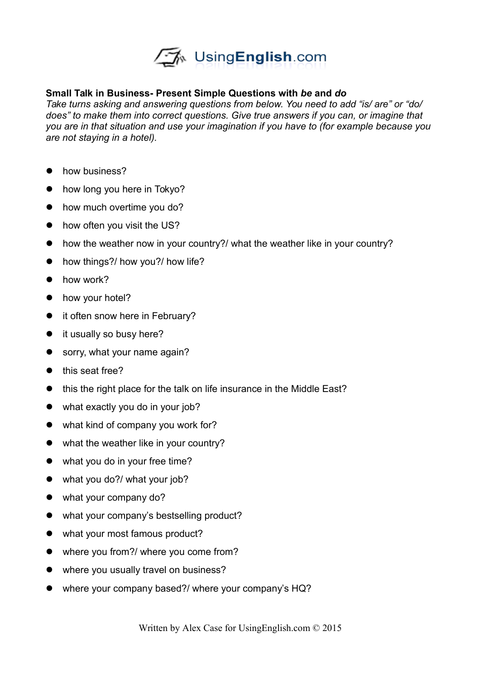

## **Small Talk in Business- Present Simple Questions with** *be* **and** *do*

*Take turns asking and answering questions from below. You need to add "is/ are" or "do/ does" to make them into correct questions. Give true answers if you can, or imagine that you are in that situation and use your imagination if you have to (for example because you are not staying in a hotel).* 

- how business?
- how long you here in Tokyo?
- how much overtime you do?
- how often you visit the US?
- how the weather now in your country?/ what the weather like in your country?
- how things?/ how you?/ how life?
- how work?
- how your hotel?
- it often snow here in February?
- it usually so busy here?
- sorry, what your name again?
- this seat free?
- this the right place for the talk on life insurance in the Middle East?
- what exactly you do in your job?
- what kind of company you work for?
- what the weather like in your country?
- what you do in your free time?
- what you do?/ what your job?
- what your company do?
- what your company's bestselling product?
- what your most famous product?
- where you from?/ where you come from?
- where you usually travel on business?
- where your company based?/ where your company's HQ?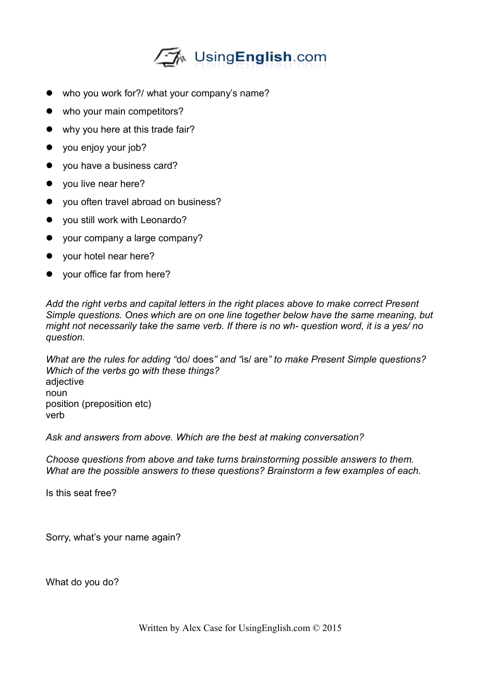

- who you work for?/ what your company's name?
- who your main competitors?
- why you here at this trade fair?
- you enjoy your job?
- you have a business card?
- you live near here?
- you often travel abroad on business?
- you still work with Leonardo?
- your company a large company?
- your hotel near here?
- your office far from here?

*Add the right verbs and capital letters in the right places above to make correct Present Simple questions. Ones which are on one line together below have the same meaning, but might not necessarily take the same verb. If there is no wh- question word, it is a yes/ no question.*

*What are the rules for adding "*do/ does*" and "*is/ are*" to make Present Simple questions? Which of the verbs go with these things?* adjective noun position (preposition etc) verb

*Ask and answers from above. Which are the best at making conversation?*

*Choose questions from above and take turns brainstorming possible answers to them. What are the possible answers to these questions? Brainstorm a few examples of each.* 

Is this seat free?

Sorry, what's your name again?

What do you do?